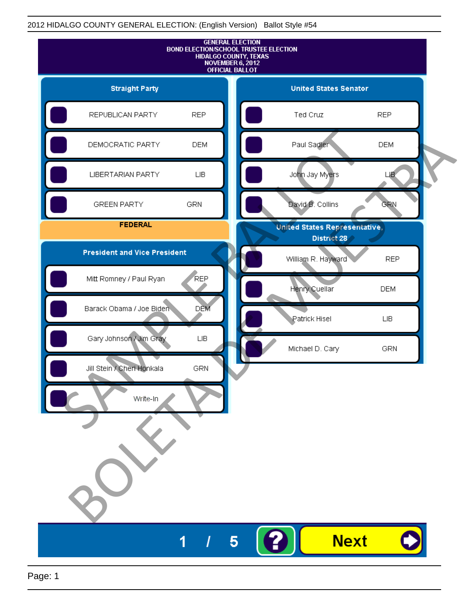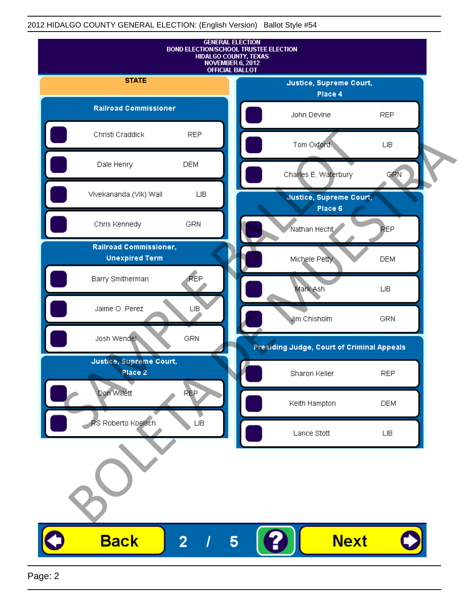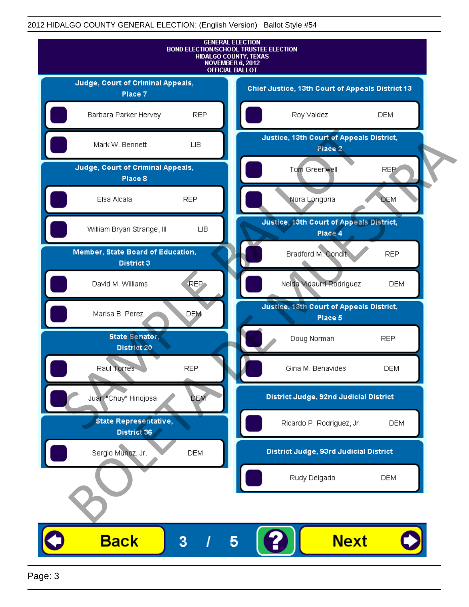

Page: 3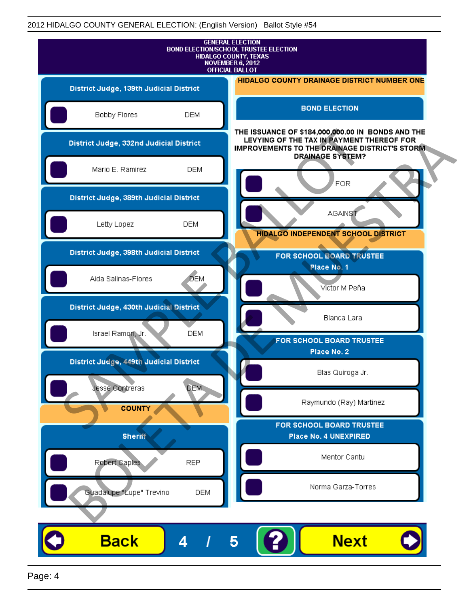|                                         | <b>GENERAL ELECTION</b><br><b>BOND ELECTION/SCHOOL TRUSTEE ELECTION</b><br>HIDALGO COUNTY, TEXAS<br>NOVEMBER 6, 2012<br><b>OFFICIAL BALLOT</b>                                     |
|-----------------------------------------|------------------------------------------------------------------------------------------------------------------------------------------------------------------------------------|
| District Judge, 139th Judicial District | <b>HIDALGO COUNTY DRAINAGE DISTRICT NUMBER ONE</b>                                                                                                                                 |
| Bobby Flores                            | <b>BOND ELECTION</b><br><b>DEM</b>                                                                                                                                                 |
| District Judge, 332nd Judicial District | THE ISSUANCE OF \$184,000,000.00 IN BONDS AND THE<br>LEVYING OF THE TAX IN PAYMENT THEREOF FOR<br><b>IMPROVEMENTS TO THE DRAINAGE DISTRICT'S STORM.</b><br><b>DRAINAGE SYSTEM?</b> |
| Mario E. Ramirez                        | <b>DEM</b>                                                                                                                                                                         |
| District Judge, 389th Judicial District | <b>FOR</b>                                                                                                                                                                         |
| Letty Lopez                             | <b>AGAINST</b><br><b>DEM</b>                                                                                                                                                       |
| District Judge, 398th Judicial District | <b>HIDALGO INDEPENDENT SCHOOL DISTRICT</b><br>FOR SCHOOL BOARD TRUSTEE                                                                                                             |
| Aida Salinas-Flores                     | Place No. 1<br><b>DEM</b><br>Victor M Peña                                                                                                                                         |
| District Judge, 430th Judicial District | Blanca Lara                                                                                                                                                                        |
| Israel Ramon, Jr.                       | <b>DEM</b><br>FOR SCHOOL BOARD TRUSTEE                                                                                                                                             |
| District Judge, 449th Judicial District | Place No. 2                                                                                                                                                                        |
| Jesse Contreras                         | Blas Quiroga Jr.<br><b>DEM</b>                                                                                                                                                     |
| <b>COUNTY</b>                           | Raymundo (Ray) Martinez                                                                                                                                                            |
| <b>Sheriff</b>                          | FOR SCHOOL BOARD TRUSTEE<br>Place No. 4 UNEXPIRED                                                                                                                                  |
| Robert Caples                           | Mentor Cantu<br><b>REP</b>                                                                                                                                                         |
| Guadalupe "Lupe" Trevino                | Norma Garza-Torres<br><b>DEM</b>                                                                                                                                                   |
|                                         |                                                                                                                                                                                    |
| <b>Back</b><br>4                        | <b>Next</b><br>5                                                                                                                                                                   |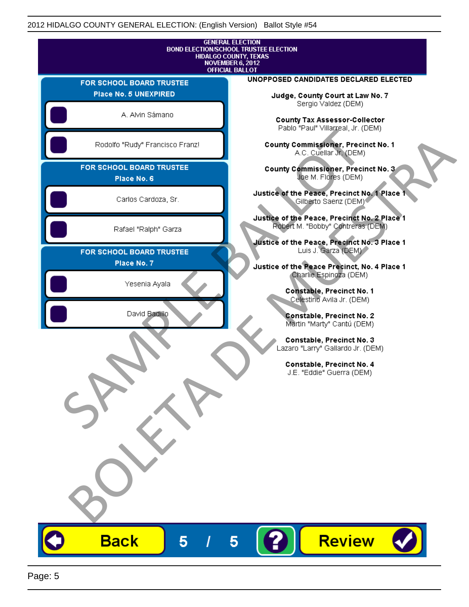|                                         |   | <b>GENERAL ELECTION</b><br>HIDALGO COUNTY, TEXAS<br><b>NOVEMBER 6, 2012</b><br><b>OFFICIAL BALLOT</b> | <b>BOND ELECTION/SCHOOL TRUSTEE ELECTION</b>                                                 |                                                                                                                          |        |  |
|-----------------------------------------|---|-------------------------------------------------------------------------------------------------------|----------------------------------------------------------------------------------------------|--------------------------------------------------------------------------------------------------------------------------|--------|--|
| FOR SCHOOL BOARD TRUSTEE                |   |                                                                                                       | UNOPPOSED CANDIDATES DECLARED ELECTED                                                        |                                                                                                                          |        |  |
| Place No. 5 UNEXPIRED                   |   |                                                                                                       |                                                                                              | Judge, County Court at Law No. 7                                                                                         |        |  |
| A. Alvin Sámano                         |   |                                                                                                       |                                                                                              | Sergio Valdez (DEM)<br>County Tax Assessor-Collector<br>Pablo "Paul" Villarreal, Jr. (DEM)                               |        |  |
| Rodolfo "Rudy" Francisco Franz!         |   |                                                                                                       |                                                                                              | <b>County Commissioner, Precinct No. 1</b><br>A.C. Cuellar Jr. (DEM)                                                     |        |  |
| FOR SCHOOL BOARD TRUSTEE<br>Place No. 6 |   |                                                                                                       |                                                                                              | County Commissioner, Precinct No. 3<br>Joe M. Flores (DEM)                                                               |        |  |
| Carlos Cardoza, Sr.                     |   |                                                                                                       | Justice of the Peace, Precinct No. 1 Place 1                                                 | Gilberto Saenz (DEM) <sup>®</sup>                                                                                        |        |  |
| Rafael "Ralph" Garza                    |   |                                                                                                       | Justice of the Peace, Precinct No. 2 Place 1<br>Justice of the Peace, Precinct No. 3 Place 1 | Robert M. "Bobby" Contreras (DEM)                                                                                        |        |  |
| FOR SCHOOL BOARD TRUSTEE<br>Place No. 7 |   |                                                                                                       | Justice of the Peace Precinct, No. 4 Place 1                                                 | Luis J. Garza (DEM)                                                                                                      |        |  |
| Yesenia Ayala                           |   |                                                                                                       |                                                                                              | Charlie Espinoza (DEM)<br>Constable, Precinct No. 1<br>Celestino Avila Jr. (DEM)                                         |        |  |
| David Badillo                           |   |                                                                                                       |                                                                                              | Constable, Precinct No. 2<br>Martin "Marty" Cantú (DEM)                                                                  |        |  |
|                                         |   |                                                                                                       |                                                                                              | Constable, Precinct No. 3<br>Lazaro "Larry" Gallardo Jr. (DEM)<br>Constable, Precinct No. 4<br>J.E. "Eddie" Guerra (DEM) |        |  |
|                                         |   |                                                                                                       |                                                                                              |                                                                                                                          |        |  |
|                                         |   |                                                                                                       |                                                                                              |                                                                                                                          |        |  |
| <b>Back</b>                             | 5 | 5                                                                                                     | 2                                                                                            |                                                                                                                          | Review |  |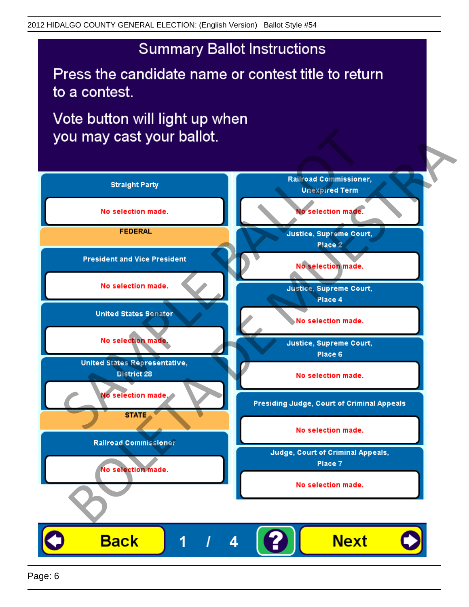Press the candidate name or contest title to return to a contest.

Vote button will light up when

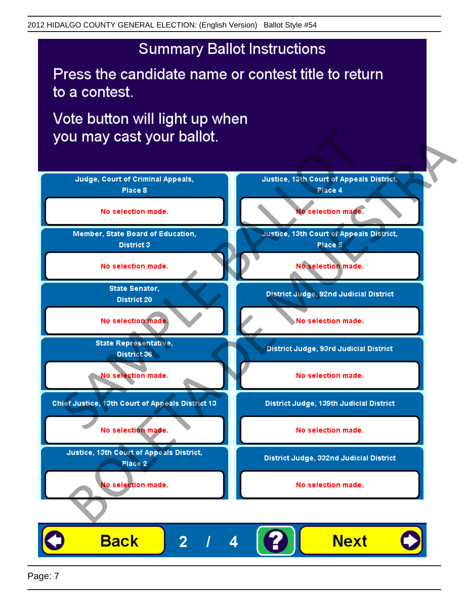Press the candidate name or contest title to return to a contest.

Vote button will light up when



Page: 7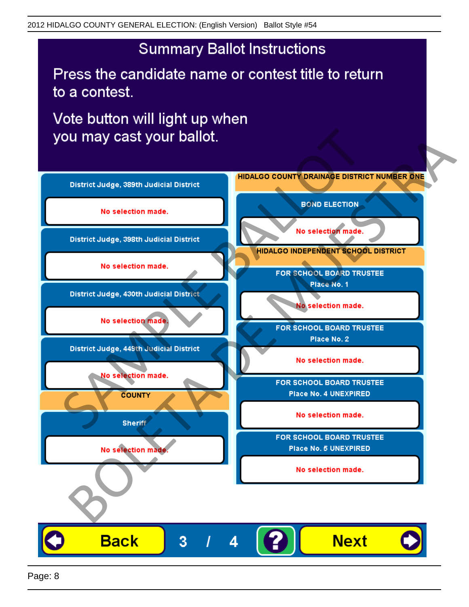Press the candidate name or contest title to return to a contest.

Vote button will light up when